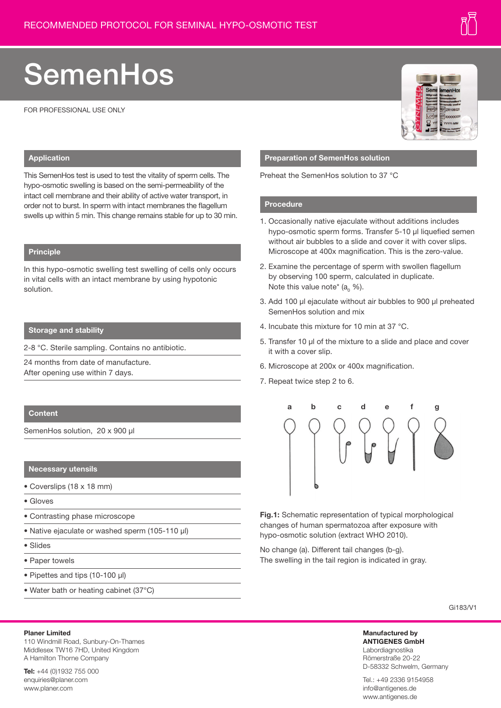# **SemenHos**

FOR PROFESSIONAL USE ONLY



#### **Application**

This SemenHos test is used to test the vitality of sperm cells. The hypo-osmotic swelling is based on the semi-permeability of the intact cell membrane and their ability of active water transport, in order not to burst. In sperm with intact membranes the flagellum swells up within 5 min. This change remains stable for up to 30 min.

### **Principle**

In this hypo-osmotic swelling test swelling of cells only occurs in vital cells with an intact membrane by using hypotonic solution.

#### **Storage and stability**

2-8 °C. Sterile sampling. Contains no antibiotic.

24 months from date of manufacture. After opening use within 7 days.

#### **Content**

SemenHos solution, 20 x 900 µl

#### **Necessary utensils**

- Coverslips (18 x 18 mm)
- Gloves
- Contrasting phase microscope
- Native ejaculate or washed sperm (105-110 µl)
- Slides
- Paper towels

**Planer Limited**

- Pipettes and tips (10-100 µl)
- Water bath or heating cabinet (37°C)

110 Windmill Road, Sunbury-On-Thames Middlesex TW16 7HD, United Kingdom

#### **Preparation of SemenHos solution**

Preheat the SemenHos solution to 37 °C

#### **Procedure**

- 1. Occasionally native ejaculate without additions includes hypo-osmotic sperm forms. Transfer 5-10 ul liquefied semen without air bubbles to a slide and cover it with cover slips. Microscope at 400x magnification. This is the zero-value.
- 2. Examine the percentage of sperm with swollen flagellum by observing 100 sperm, calculated in duplicate. Note this value note\* ( $a_0$  %).
- 3. Add 100 µl ejaculate without air bubbles to 900 µl preheated SemenHos solution and mix
- 4. Incubate this mixture for 10 min at 37 °C.
- 5. Transfer 10 µl of the mixture to a slide and place and cover it with a cover slip.
- 6. Microscope at 200x or 400x magnification.
- 7. Repeat twice step 2 to 6.



**Fig.1:** Schematic representation of typical morphological changes of human spermatozoa after exposure with hypo-osmotic solution (extract WHO 2010).

No change (a). Different tail changes (b-g). The swelling in the tail region is indicated in gray.

Gi183/V1

#### **Manufactured by ANTIGENES GmbH** Labordiagnostika Römerstraße 20-22 D-58332 Schwelm, Germany

Tel.: +49 2336 9154958 info@antigenes.de www.antigenes.de

**Tel:** +44 (0)1932 755 000 enquiries@planer.com www.planer.com

A Hamilton Thorne Company